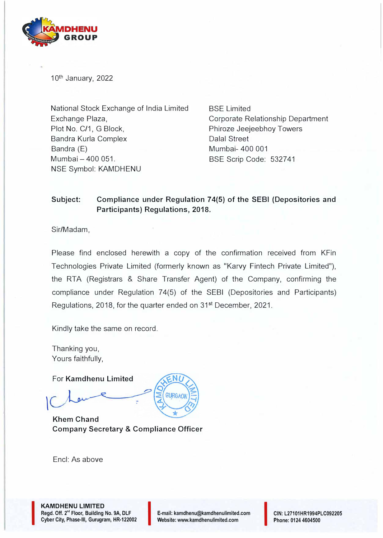

10<sup>th</sup> January, 2022

National Stock Exchange of India Limited Exchange Plaza, Plot No. C/1, G Block, Bandra Kurla Complex Bandra (E) Mumbai - 400 051. NSE Symbol: KAMDHENU

BSE Limited Corporate Relationship Department Phiroze Jeejeebhoy Towers Dalal Street Mumbai- 400 001 BSE Scrip Code: 532741

## **Subject: Compliance under Regulation 74(5) of the SEBI (Depositories and Participants) Regulations, 2018.**

Sir/Madam,

Please find enclosed herewith a copy of the confirmation received from KFin Technologies Private Limited (formerly known as "Karvy Fintech Private Limited"), the RTA (Registrars & Share Transfer Agent) of the Company, confirming the compliance under Regulation 74(5) of the SEBI (Depositories and Participants) Regulations, 2018, for the quarter ended on 31st December, 2021.

GURGAO

Kindly take the same on record.

Thanking you, Yours faithfully,

For **Kamdhenu Limited** 

 $\vert$ 

**Khem Chand Company Secretary & Compliance Officer** 

Encl: As above

I

**KAMDHENU LIMITED Regd. Off. 2"' Floor, Building No. 9A, DLF KAMDHENU LIMITED<br>Regd. Off. 2<sup>nd</sup> Floor, Building No. 9A, DLF<br>Cyber City, Phase-III, Gurugram, HR-122002** 



**CIN: L27101HR1994PLC092205 Phone: 0124 4604500**